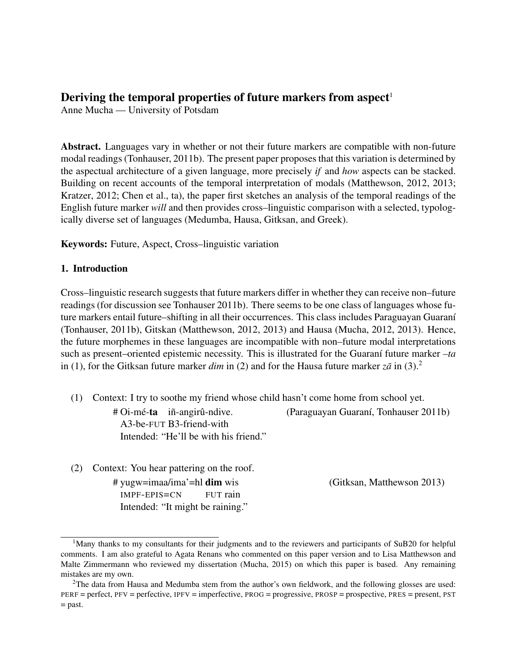# Deriving the temporal properties of future markers from aspect<sup>1</sup>

Anne Mucha — University of Potsdam

Abstract. Languages vary in whether or not their future markers are compatible with non-future modal readings (Tonhauser, 2011b). The present paper proposes that this variation is determined by the aspectual architecture of a given language, more precisely *if* and *how* aspects can be stacked. Building on recent accounts of the temporal interpretation of modals (Matthewson, 2012, 2013; Kratzer, 2012; Chen et al., ta), the paper first sketches an analysis of the temporal readings of the English future marker *will* and then provides cross–linguistic comparison with a selected, typologically diverse set of languages (Medumba, Hausa, Gitksan, and Greek).

Keywords: Future, Aspect, Cross–linguistic variation

# 1. Introduction

Cross–linguistic research suggests that future markers differ in whether they can receive non–future readings (for discussion see Tonhauser 2011b). There seems to be one class of languages whose future markers entail future–shifting in all their occurrences. This class includes Paraguayan Guaraní (Tonhauser, 2011b), Gitskan (Matthewson, 2012, 2013) and Hausa (Mucha, 2012, 2013). Hence, the future morphemes in these languages are incompatible with non–future modal interpretations such as present–oriented epistemic necessity. This is illustrated for the Guaraní future marker  $-i\alpha$ in (1), for the Gitksan future marker *dim* in (2) and for the Hausa future marker  $z\bar{a}$  in (3).<sup>2</sup>

- (1) Context: I try to soothe my friend whose child hasn't come home from school yet.
	- # Oi-mé-ta iñ-angirû-ndive. A3-be-FUT B3-friend-with Intended: "He'll be with his friend."

(Paraguayan Guaran´ı, Tonhauser 2011b)

(2) Context: You hear pattering on the roof. # yugw=imaa/ima'=hl dim wis IMPF-EPIS=CN FUT rain (Gitksan, Matthewson 2013) Intended: "It might be raining."

<sup>&</sup>lt;sup>1</sup>Many thanks to my consultants for their judgments and to the reviewers and participants of SuB20 for helpful comments. I am also grateful to Agata Renans who commented on this paper version and to Lisa Matthewson and Malte Zimmermann who reviewed my dissertation (Mucha, 2015) on which this paper is based. Any remaining mistakes are my own.

<sup>&</sup>lt;sup>2</sup>The data from Hausa and Medumba stem from the author's own fieldwork, and the following glosses are used: PERF = perfect, PFV = perfective, IPFV = imperfective, PROG = progressive, PROSP = prospective, PRES = present, PST = past.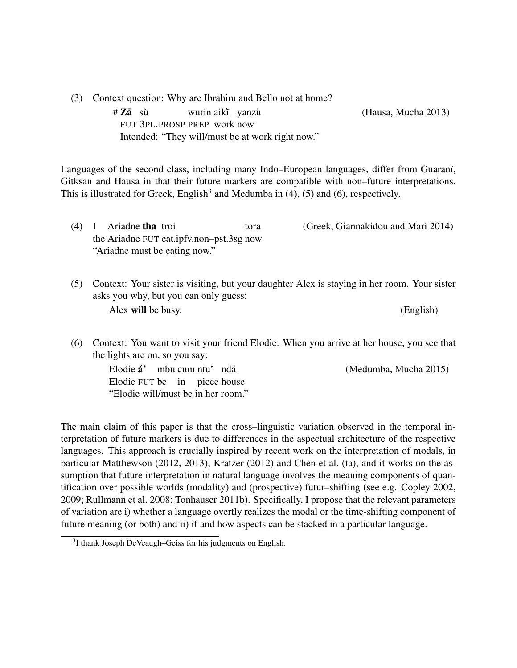(3) Context question: Why are Ibrahim and Bello not at home?

 $#Z\bar{a}$  sù FUT 3PL.PROSP PREP work now wurin aikt yanzù Intended: "They will/must be at work right now."

(Hausa, Mucha 2013)

Languages of the second class, including many Indo–European languages, differ from Guaraní, Gitksan and Hausa in that their future markers are compatible with non–future interpretations. This is illustrated for Greek, English<sup>3</sup> and Medumba in  $(4)$ ,  $(5)$  and  $(6)$ , respectively.

- (4) I Ariadne tha troi the Ariadne FUT eat.ipfv.non–pst.3sg now tora (Greek, Giannakidou and Mari 2014) "Ariadne must be eating now."
- (5) Context: Your sister is visiting, but your daughter Alex is staying in her room. Your sister asks you why, but you can only guess: Alex will be busy. (English)
- (6) Context: You want to visit your friend Elodie. When you arrive at her house, you see that the lights are on, so you say:

Elodie **á'** mb<del>u</del> cum ntu'ndá Elodie FUT be in piece house (Medumba, Mucha 2015) "Elodie will/must be in her room."

The main claim of this paper is that the cross–linguistic variation observed in the temporal interpretation of future markers is due to differences in the aspectual architecture of the respective languages. This approach is crucially inspired by recent work on the interpretation of modals, in particular Matthewson (2012, 2013), Kratzer (2012) and Chen et al. (ta), and it works on the assumption that future interpretation in natural language involves the meaning components of quantification over possible worlds (modality) and (prospective) futur–shifting (see e.g. Copley 2002, 2009; Rullmann et al. 2008; Tonhauser 2011b). Specifically, I propose that the relevant parameters of variation are i) whether a language overtly realizes the modal or the time-shifting component of future meaning (or both) and ii) if and how aspects can be stacked in a particular language.

<sup>&</sup>lt;sup>3</sup>I thank Joseph DeVeaugh–Geiss for his judgments on English.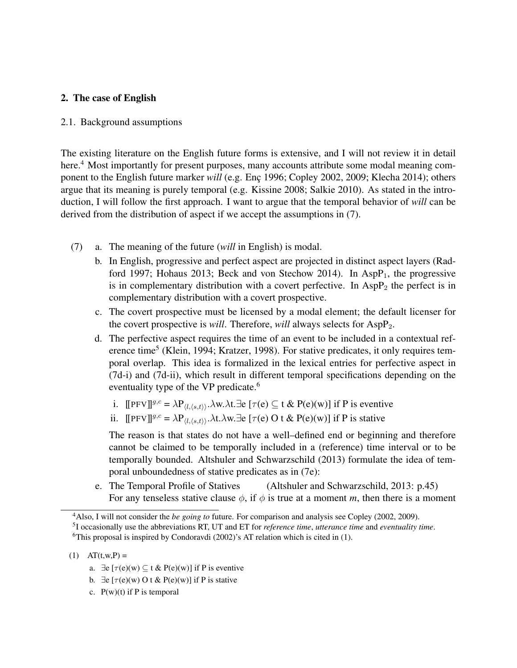# 2. The case of English

#### 2.1. Background assumptions

The existing literature on the English future forms is extensive, and I will not review it in detail here.<sup>4</sup> Most importantly for present purposes, many accounts attribute some modal meaning component to the English future marker *will* (e.g. Enc 1996; Copley 2002, 2009; Klecha 2014); others argue that its meaning is purely temporal (e.g. Kissine 2008; Salkie 2010). As stated in the introduction, I will follow the first approach. I want to argue that the temporal behavior of *will* can be derived from the distribution of aspect if we accept the assumptions in (7).

- (7) a. The meaning of the future (*will* in English) is modal.
	- b. In English, progressive and perfect aspect are projected in distinct aspect layers (Radford 1997; Hohaus 2013; Beck and von Stechow 2014). In Asp $P_1$ , the progressive is in complementary distribution with a covert perfective. In  $AspP<sub>2</sub>$  the perfect is in complementary distribution with a covert prospective.
	- c. The covert prospective must be licensed by a modal element; the default licenser for the covert prospective is *will*. Therefore, *will* always selects for AspP<sub>2</sub>.
	- d. The perfective aspect requires the time of an event to be included in a contextual reference time<sup>5</sup> (Klein, 1994; Kratzer, 1998). For stative predicates, it only requires temporal overlap. This idea is formalized in the lexical entries for perfective aspect in (7d-i) and (7d-ii), which result in different temporal specifications depending on the eventuality type of the VP predicate.<sup>6</sup>
		- i.  $[$ [PFV]]<sup>g,c</sup> =  $\lambda P_{(l,\langle s,t\rangle)}$ . $\lambda w.\lambda t$ . $\exists e$  [ $\tau(e) \subseteq t \& P(e)(w)$ ] if P is eventive
		- ii.  $[$ [PFV]]<sup>g,c</sup> =  $\lambda P_{\langle l,\langle s,t\rangle\rangle}$ . $\lambda t.\lambda w.\exists e$  [ $\tau(e)$  O t & P(e)(w)] if P is stative

The reason is that states do not have a well–defined end or beginning and therefore cannot be claimed to be temporally included in a (reference) time interval or to be temporally bounded. Altshuler and Schwarzschild (2013) formulate the idea of temporal unboundedness of stative predicates as in (7e):

e. The Temporal Profile of Statives (Altshuler and Schwarzschild, 2013: p.45) For any tenseless stative clause  $\phi$ , if  $\phi$  is true at a moment *m*, then there is a moment

- a.  $\exists e \left[ \tau(e)(w) \subseteq t \& P(e)(w) \right]$  if P is eventive
- b.  $\exists e \left[ \tau(e)(w) \cdot O \right]$  of  $\& P(e)(w)$  if P is stative
- c.  $P(w)(t)$  if P is temporal

<sup>4</sup>Also, I will not consider the *be going to* future. For comparison and analysis see Copley (2002, 2009).

<sup>5</sup> I occasionally use the abbreviations RT, UT and ET for *reference time*, *utterance time* and *eventuality time*. <sup>6</sup>This proposal is inspired by Condoravdi (2002)'s AT relation which is cited in (1).

<sup>(1)</sup>  $AT(t, w, P) =$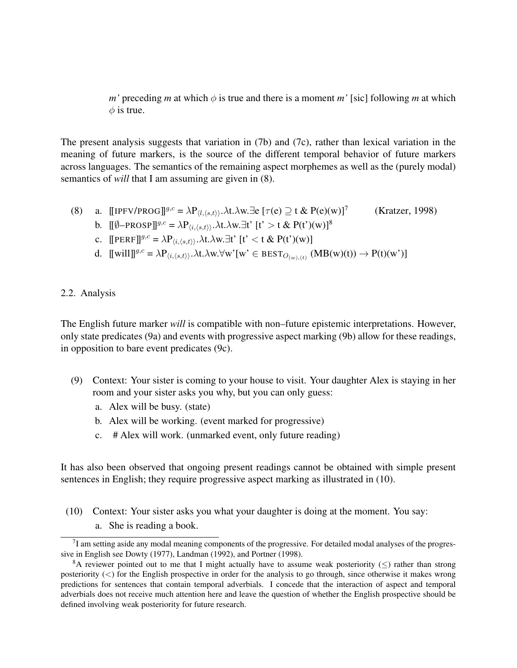*m'* preceding *m* at which  $\phi$  is true and there is a moment *m'* [sic] following *m* at which  $\phi$  is true.

The present analysis suggests that variation in (7b) and (7c), rather than lexical variation in the meaning of future markers, is the source of the different temporal behavior of future markers across languages. The semantics of the remaining aspect morphemes as well as the (purely modal) semantics of *will* that I am assuming are given in (8).

(8) a.  $[IPFV/PROG]^{g,c} = \lambda P_{(l,\langle s,t \rangle)}.\lambda t.\lambda w.\exists e [\tau(e) \supseteq t \& P(e)(w)]^7$ (Kratzer, 1998)

b. 
$$
[\![\emptyset - \text{PROSP}]\!]^{g,c} = \lambda P_{\langle i, \langle s, t \rangle \rangle} \cdot \lambda t. \lambda w. \exists t^* \ [t^* > t \& P(t^*)(w)]^8
$$

- c.  $[[PERF]]^{g,c} = \lambda P_{\langle i,\langle s,t\rangle\rangle}.\lambda t.\lambda w.\exists t' [t' < t & P(t')(w)]$
- d.  $[[will]]^{g,c} = \lambda P_{\langle i,\langle s,t\rangle\rangle}.\lambda t.\lambda w.\forall w'[w' \in BEST_{O_{(w),(t)}} (MB(w)(t)) \rightarrow P(t)(w')]$

#### 2.2. Analysis

The English future marker *will* is compatible with non–future epistemic interpretations. However, only state predicates (9a) and events with progressive aspect marking (9b) allow for these readings, in opposition to bare event predicates (9c).

- (9) Context: Your sister is coming to your house to visit. Your daughter Alex is staying in her room and your sister asks you why, but you can only guess:
	- a. Alex will be busy. (state)
	- b. Alex will be working. (event marked for progressive)
	- c. # Alex will work. (unmarked event, only future reading)

It has also been observed that ongoing present readings cannot be obtained with simple present sentences in English; they require progressive aspect marking as illustrated in (10).

- (10) Context: Your sister asks you what your daughter is doing at the moment. You say:
	- a. She is reading a book.

 $7$ I am setting aside any modal meaning components of the progressive. For detailed modal analyses of the progressive in English see Dowty (1977), Landman (1992), and Portner (1998).

<sup>&</sup>lt;sup>8</sup>A reviewer pointed out to me that I might actually have to assume weak posteriority ( $\leq$ ) rather than strong posteriority  $(\le)$  for the English prospective in order for the analysis to go through, since otherwise it makes wrong predictions for sentences that contain temporal adverbials. I concede that the interaction of aspect and temporal adverbials does not receive much attention here and leave the question of whether the English prospective should be defined involving weak posteriority for future research.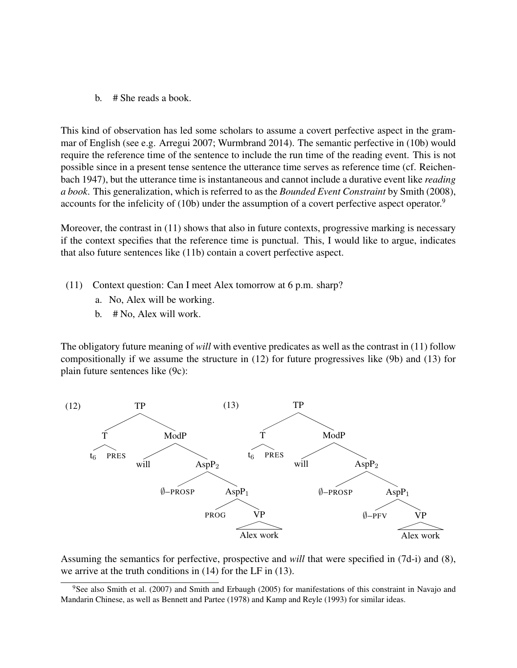b. # She reads a book.

This kind of observation has led some scholars to assume a covert perfective aspect in the grammar of English (see e.g. Arregui 2007; Wurmbrand 2014). The semantic perfective in (10b) would require the reference time of the sentence to include the run time of the reading event. This is not possible since in a present tense sentence the utterance time serves as reference time (cf. Reichenbach 1947), but the utterance time is instantaneous and cannot include a durative event like *reading a book*. This generalization, which is referred to as the *Bounded Event Constraint* by Smith (2008), accounts for the infelicity of (10b) under the assumption of a covert perfective aspect operator.<sup>9</sup>

Moreover, the contrast in (11) shows that also in future contexts, progressive marking is necessary if the context specifies that the reference time is punctual. This, I would like to argue, indicates that also future sentences like (11b) contain a covert perfective aspect.

- (11) Context question: Can I meet Alex tomorrow at 6 p.m. sharp?
	- a. No, Alex will be working.
	- b. # No, Alex will work.

The obligatory future meaning of *will* with eventive predicates as well as the contrast in (11) follow compositionally if we assume the structure in (12) for future progressives like (9b) and (13) for plain future sentences like (9c):



Assuming the semantics for perfective, prospective and *will* that were specified in (7d-i) and (8), we arrive at the truth conditions in (14) for the LF in (13).

<sup>&</sup>lt;sup>9</sup>See also Smith et al. (2007) and Smith and Erbaugh (2005) for manifestations of this constraint in Navajo and Mandarin Chinese, as well as Bennett and Partee (1978) and Kamp and Reyle (1993) for similar ideas.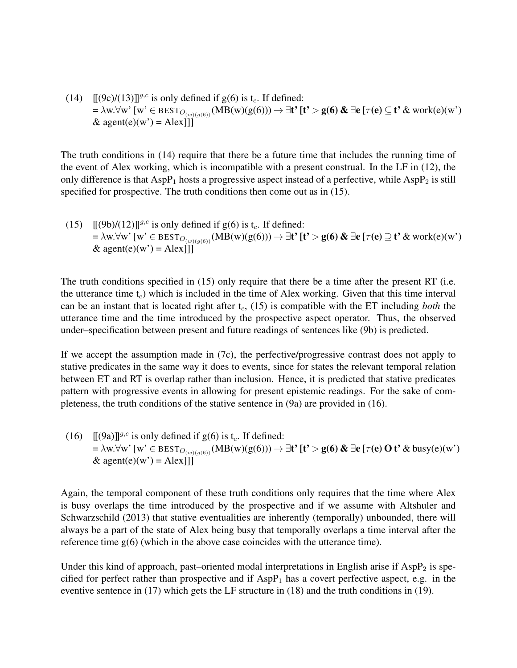(14)  $[(9c)/(13)]^{g,c}$  is only defined if g(6) is t<sub>c</sub>. If defined:  $= \lambda w. \forall w'$  [w'  $\in$  BEST<sub>O(w)(q(6))</sub> (MB(w)(g(6)))  $\rightarrow \exists t'$  [t' > g(6) &  $\exists e$  [ $\tau(e) \subseteq t'$  & work(e)(w') & agent(e)(w') = Alex $\overrightarrow{III}$ 

The truth conditions in (14) require that there be a future time that includes the running time of the event of Alex working, which is incompatible with a present construal. In the LF in (12), the only difference is that  $AspP_1$  hosts a progressive aspect instead of a perfective, while  $AspP_2$  is still specified for prospective. The truth conditions then come out as in (15).

(15)  $[(9b)/(12)]^{g,c}$  is only defined if  $g(6)$  is t<sub>c</sub>. If defined:  $= \lambda w. \forall w'$  [w'  $\in$  BEST<sub>O<sub>(w)(g(6)</sub>)(MB(w)(g(6)))  $\rightarrow \exists t'$  [t' > g(6) &  $\exists e$  [ $\tau(e) \supseteq t'$  & work(e)(w')</sub> & agent(e)(w') = Alex

The truth conditions specified in (15) only require that there be a time after the present RT (i.e. the utterance time  $t_c$ ) which is included in the time of Alex working. Given that this time interval can be an instant that is located right after  $t_c$ , (15) is compatible with the ET including *both* the utterance time and the time introduced by the prospective aspect operator. Thus, the observed under–specification between present and future readings of sentences like (9b) is predicted.

If we accept the assumption made in (7c), the perfective/progressive contrast does not apply to stative predicates in the same way it does to events, since for states the relevant temporal relation between ET and RT is overlap rather than inclusion. Hence, it is predicted that stative predicates pattern with progressive events in allowing for present epistemic readings. For the sake of completeness, the truth conditions of the stative sentence in (9a) are provided in (16).

(16)  $[(9a)]^{g,c}$  is only defined if g(6) is t<sub>c</sub>. If defined:  $= \lambda w. \forall w'$  [w' ∈ BEST<sub>O(w)(q(6))</sub>(MB(w)(g(6)))  $\rightarrow \exists t'$  [t' > g(6) &  $\exists e$  [ $\tau(e)$  O t' & busy(e)(w') & agent(e)(w') = Alex $\overrightarrow{||}$ 

Again, the temporal component of these truth conditions only requires that the time where Alex is busy overlaps the time introduced by the prospective and if we assume with Altshuler and Schwarzschild (2013) that stative eventualities are inherently (temporally) unbounded, there will always be a part of the state of Alex being busy that temporally overlaps a time interval after the reference time  $g(6)$  (which in the above case coincides with the utterance time).

Under this kind of approach, past–oriented modal interpretations in English arise if  $AspP_2$  is specified for perfect rather than prospective and if  $AspP<sub>1</sub>$  has a covert perfective aspect, e.g. in the eventive sentence in (17) which gets the LF structure in (18) and the truth conditions in (19).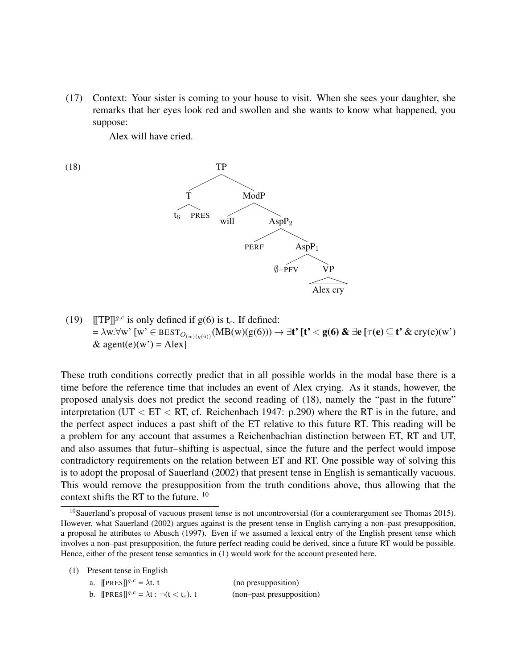(17) Context: Your sister is coming to your house to visit. When she sees your daughter, she remarks that her eyes look red and swollen and she wants to know what happened, you suppose:

Alex will have cried.

- (18) TP  $\tilde{\rm T}$ **PRES** ModP will  $AspP<sub>2</sub>$ PERF AspP<sub>1</sub>  $\emptyset$ –PFV Alex cry
- (19)  $\llbracket \text{TP} \rrbracket^{g,c}$  is only defined if g(6) is t<sub>c</sub>. If defined:  $=\lambda$ w. $\forall$ w' [w'  $\in$  BEST $_{O_{(w)(g(6))}}(MB(w)(g(6))) \to \exists$ t' [t'  $<$  g(6) &  $\exists$ e [ $\tau$ (e)  $\subseteq$  t' & cry(e)(w') & agent(e)(w') = Alex]

These truth conditions correctly predict that in all possible worlds in the modal base there is a time before the reference time that includes an event of Alex crying. As it stands, however, the proposed analysis does not predict the second reading of (18), namely the "past in the future" interpretation (UT  $\rm < E T < RT$ , cf. Reichenbach 1947: p.290) where the RT is in the future, and the perfect aspect induces a past shift of the ET relative to this future RT. This reading will be a problem for any account that assumes a Reichenbachian distinction between ET, RT and UT, and also assumes that futur–shifting is aspectual, since the future and the perfect would impose contradictory requirements on the relation between ET and RT. One possible way of solving this is to adopt the proposal of Sauerland (2002) that present tense in English is semantically vacuous. This would remove the presupposition from the truth conditions above, thus allowing that the context shifts the RT to the future. <sup>10</sup>

(1) Present tense in English

a.  $[PRES]]^{g,c} = \lambda t$ . t (no presupposition) b.  $[PRES]^{g,c} = \lambda t : \neg(t \leq t_c)$ . (non–past presupposition)

<sup>&</sup>lt;sup>10</sup>Sauerland's proposal of vacuous present tense is not uncontroversial (for a counterargument see Thomas 2015). However, what Sauerland (2002) argues against is the present tense in English carrying a non–past presupposition, a proposal he attributes to Abusch (1997). Even if we assumed a lexical entry of the English present tense which involves a non–past presupposition, the future perfect reading could be derived, since a future RT would be possible. Hence, either of the present tense semantics in (1) would work for the account presented here.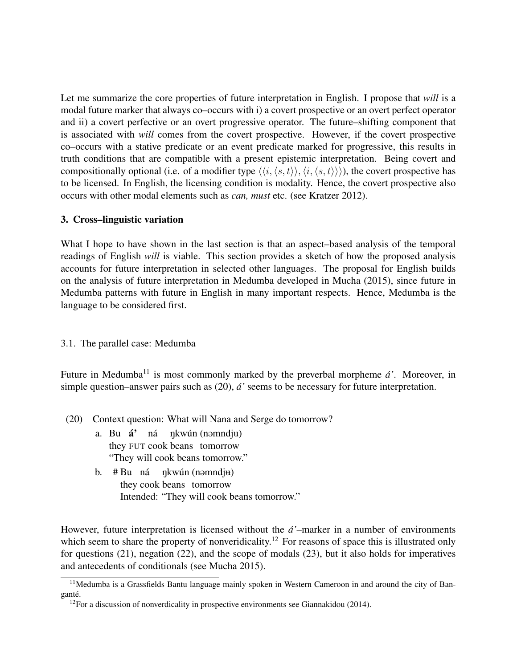Let me summarize the core properties of future interpretation in English. I propose that *will* is a modal future marker that always co–occurs with i) a covert prospective or an overt perfect operator and ii) a covert perfective or an overt progressive operator. The future–shifting component that is associated with *will* comes from the covert prospective. However, if the covert prospective co–occurs with a stative predicate or an event predicate marked for progressive, this results in truth conditions that are compatible with a present epistemic interpretation. Being covert and compositionally optional (i.e. of a modifier type  $\langle\langle i,\langle s,t\rangle\rangle,\langle i,\langle s,t\rangle\rangle\rangle$ ), the covert prospective has to be licensed. In English, the licensing condition is modality. Hence, the covert prospective also occurs with other modal elements such as *can, must* etc. (see Kratzer 2012).

#### 3. Cross–linguistic variation

What I hope to have shown in the last section is that an aspect–based analysis of the temporal readings of English *will* is viable. This section provides a sketch of how the proposed analysis accounts for future interpretation in selected other languages. The proposal for English builds on the analysis of future interpretation in Medumba developed in Mucha (2015), since future in Medumba patterns with future in English in many important respects. Hence, Medumba is the language to be considered first.

#### 3.1. The parallel case: Medumba

Future in Medumba<sup>11</sup> is most commonly marked by the preverbal morpheme  $\hat{a}$ <sup>'</sup>. Moreover, in simple question–answer pairs such as (20), *a'´* seems to be necessary for future interpretation.

- (20) Context question: What will Nana and Serge do tomorrow?
	- a. Bu **á'** ná nkwún (nəmndj<del>u</del>) they FUT cook beans tomorrow "They will cook beans tomorrow."
	- b. #Bu ná ŋkwún(nəmndj<del>u</del>) they cook beans tomorrow Intended: "They will cook beans tomorrow."

However, future interpretation is licensed without the  $\acute{a}$ '-marker in a number of environments which seem to share the property of nonveridicality.<sup>12</sup> For reasons of space this is illustrated only for questions (21), negation (22), and the scope of modals (23), but it also holds for imperatives and antecedents of conditionals (see Mucha 2015).

<sup>&</sup>lt;sup>11</sup>Medumba is a Grassfields Bantu language mainly spoken in Western Cameroon in and around the city of Banganté.

 $12$ For a discussion of nonverdicality in prospective environments see Giannakidou (2014).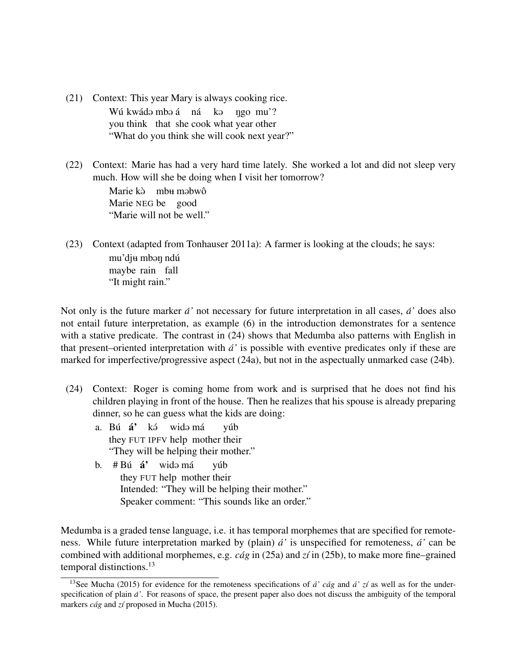- (21) Context: This year Mary is always cooking rice. Wú kwádə mbə á µná kə you think that she cook what year other ngo mu'? "What do you think she will cook next year?"
- (22) Context: Marie has had a very hard time lately. She worked a lot and did not sleep very much. How will she be doing when I visit her tomorrow?

Marie kà mbu mabwô Marie NEG be good "Marie will not be well."

(23) Context (adapted from Tonhauser 2011a): A farmer is looking at the clouds; he says: mu'dj<del>u</del> mbəŋ ndú maybe rain fall "It might rain."

Not only is the future marker *a'´* not necessary for future interpretation in all cases, *a'´* does also not entail future interpretation, as example (6) in the introduction demonstrates for a sentence with a stative predicate. The contrast in  $(24)$  shows that Medumba also patterns with English in that present–oriented interpretation with *a'´* is possible with eventive predicates only if these are marked for imperfective/progressive aspect (24a), but not in the aspectually unmarked case (24b).

- (24) Context: Roger is coming home from work and is surprised that he does not find his children playing in front of the house. Then he realizes that his spouse is already preparing dinner, so he can guess what the kids are doing:
	- a. Bú **á'** kэ́ they FUT IPFV help mother their widə má yúb "They will be helping their mother."
	- b. #Bú **á'** widə má they FUT help mother their yúb Intended: "They will be helping their mother." Speaker comment: "This sounds like an order."

Medumba is a graded tense language, i.e. it has temporal morphemes that are specified for remoteness. While future interpretation marked by (plain) *a'´* is unspecified for remoteness, *a'´* can be combined with additional morphemes, e.g. *cág* in (25a) and *zí* in (25b), to make more fine–grained temporal distinctions.<sup>13</sup>

<sup>&</sup>lt;sup>13</sup>See Mucha (2015) for evidence for the remoteness specifications of  $\hat{a}'$  *cág* and  $\hat{a}'$  *zí* as well as for the underspecification of plain *a'´* . For reasons of space, the present paper also does not discuss the ambiguity of the temporal markers *cág* and *zí* proposed in Mucha (2015).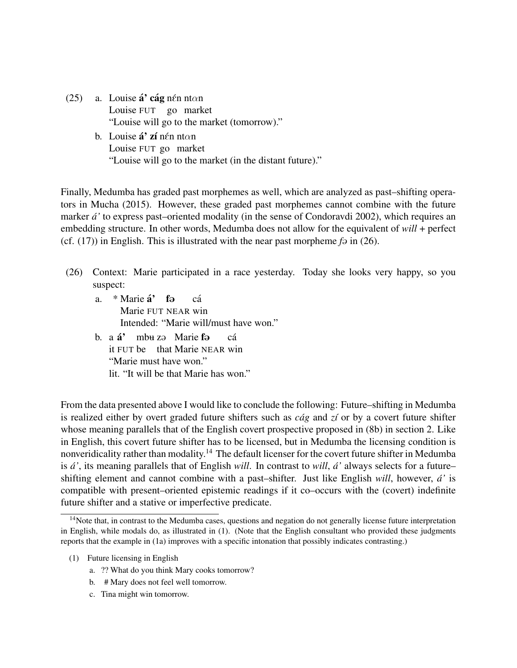- (25) a. Louise **á' cág** nén ntan Louise FUT go market "Louise will go to the market (tomorrow)."
	- b. Louise **á' zí** nén ntan Louise FUT go market "Louise will go to the market (in the distant future)."

Finally, Medumba has graded past morphemes as well, which are analyzed as past–shifting operators in Mucha (2015). However, these graded past morphemes cannot combine with the future marker *a'´* to express past–oriented modality (in the sense of Condoravdi 2002), which requires an embedding structure. In other words, Medumba does not allow for the equivalent of *will* + perfect (cf.  $(17)$ ) in English. This is illustrated with the near past morpheme *f* $\varphi$  in (26).

- (26) Context: Marie participated in a race yesterday. Today she looks very happy, so you suspect:
	- a. \*Marie **á**' fə Marie FUT NEAR win ca´ Intended: "Marie will/must have won."
	- b. a **á'** it FUT be that Marie NEAR win mbu zə Marie fə ca´ "Marie must have won." lit. "It will be that Marie has won."

From the data presented above I would like to conclude the following: Future–shifting in Medumba is realized either by overt graded future shifters such as  $c\dot{a}g$  and  $z\dot{i}$  or by a covert future shifter whose meaning parallels that of the English covert prospective proposed in (8b) in section 2. Like in English, this covert future shifter has to be licensed, but in Medumba the licensing condition is nonveridicality rather than modality.<sup>14</sup> The default licenser for the covert future shifter in Medumba is *a'´* , its meaning parallels that of English *will*. In contrast to *will*, *a'´* always selects for a future– shifting element and cannot combine with a past–shifter. Just like English *will*, however, *a'´* is compatible with present–oriented epistemic readings if it co–occurs with the (covert) indefinite future shifter and a stative or imperfective predicate.

- (1) Future licensing in English
	- a. ?? What do you think Mary cooks tomorrow?
	- b. # Mary does not feel well tomorrow.
	- c. Tina might win tomorrow.

<sup>&</sup>lt;sup>14</sup>Note that, in contrast to the Medumba cases, questions and negation do not generally license future interpretation in English, while modals do, as illustrated in (1). (Note that the English consultant who provided these judgments reports that the example in (1a) improves with a specific intonation that possibly indicates contrasting.)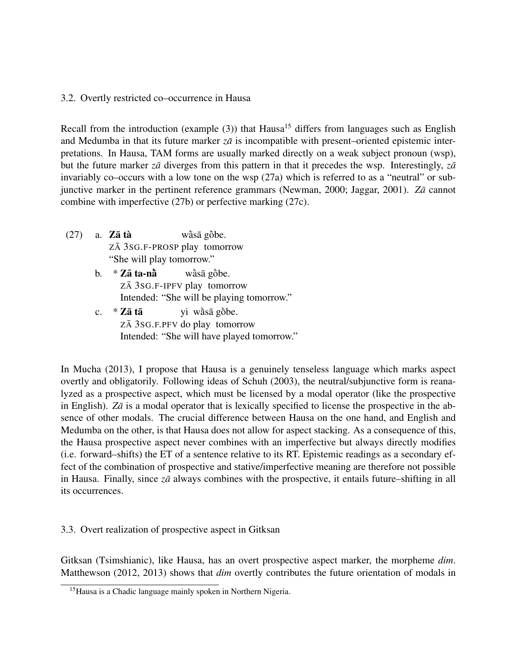# 3.2. Overtly restricted co–occurrence in Hausa

Recall from the introduction (example  $(3)$ ) that Hausa<sup>15</sup> differs from languages such as English and Medumba in that its future marker  $z\bar{a}$  is incompatible with present–oriented epistemic interpretations. In Hausa, TAM forms are usually marked directly on a weak subject pronoun (wsp), but the future marker *za* diverges from this pattern in that it precedes the wsp. Interestingly, *za* invariably co–occurs with a low tone on the wsp (27a) which is referred to as a "neutral" or subjunctive marker in the pertinent reference grammars (Newman, 2000; Jaggar, 2001). Zā cannot combine with imperfective (27b) or perfective marking (27c).

- $(27)$  a. Z**a** tà ZĀ 3SG.F-PROSP play tomorrow wàsā gòbe. "She will play tomorrow."
	- b.  $*$  Zā ta-n $\dot{\bar{a}}$ ZĀ 3SG.F-IPFV play tomorrow wàsā gòbe. Intended: "She will be playing tomorrow."
	- $c.$  \*  $Z\bar{a}$  tā ZĀ 3SG.F.PFV do play tomorrow yi wàsā gòbe. Intended: "She will have played tomorrow."

In Mucha (2013), I propose that Hausa is a genuinely tenseless language which marks aspect overtly and obligatorily. Following ideas of Schuh (2003), the neutral/subjunctive form is reanalyzed as a prospective aspect, which must be licensed by a modal operator (like the prospective in English).  $Z\bar{a}$  is a modal operator that is lexically specified to license the prospective in the absence of other modals. The crucial difference between Hausa on the one hand, and English and Medumba on the other, is that Hausa does not allow for aspect stacking. As a consequence of this, the Hausa prospective aspect never combines with an imperfective but always directly modifies (i.e. forward–shifts) the ET of a sentence relative to its RT. Epistemic readings as a secondary effect of the combination of prospective and stative/imperfective meaning are therefore not possible in Hausa. Finally, since  $z\bar{a}$  always combines with the prospective, it entails future–shifting in all its occurrences.

# 3.3. Overt realization of prospective aspect in Gitksan

Gitksan (Tsimshianic), like Hausa, has an overt prospective aspect marker, the morpheme *dim*. Matthewson (2012, 2013) shows that *dim* overtly contributes the future orientation of modals in

<sup>&</sup>lt;sup>15</sup>Hausa is a Chadic language mainly spoken in Northern Nigeria.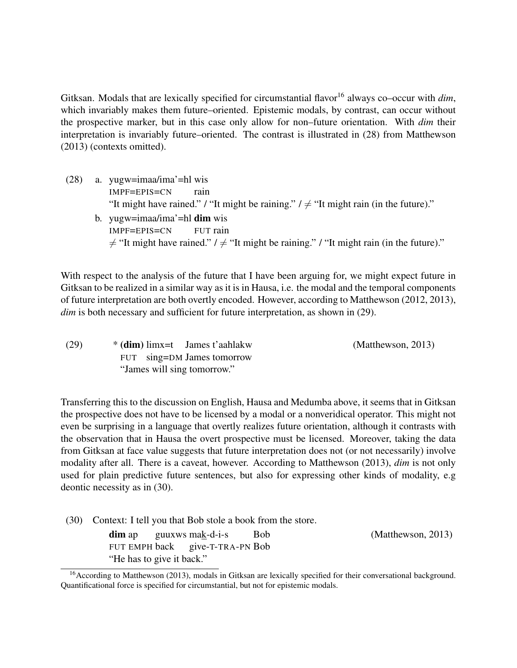Gitksan. Modals that are lexically specified for circumstantial flavor<sup>16</sup> always co–occur with *dim*, which invariably makes them future–oriented. Epistemic modals, by contrast, can occur without the prospective marker, but in this case only allow for non–future orientation. With *dim* their interpretation is invariably future–oriented. The contrast is illustrated in (28) from Matthewson (2013) (contexts omitted).

(28) a. yugw=imaa/ima'=hl wis IMPF=EPIS=CN rain "It might have rained." / "It might be raining."  $l \neq$  "It might rain (in the future)." b. yugw=imaa/ima'=hl **dim** wis IMPF=EPIS=CN FUT rain  $\neq$  "It might have rained." /  $\neq$  "It might be raining." / "It might rain (in the future)."

With respect to the analysis of the future that I have been arguing for, we might expect future in Gitksan to be realized in a similar way as it is in Hausa, i.e. the modal and the temporal components of future interpretation are both overtly encoded. However, according to Matthewson (2012, 2013), *dim* is both necessary and sufficient for future interpretation, as shown in (29).

| (29) | $*(dim)$ limx=t James t'aahlakw | Matthewson, 2013 |
|------|---------------------------------|------------------|
|      | FUT sing=DM James tomorrow      |                  |
|      | "James will sing tomorrow."     |                  |

Transferring this to the discussion on English, Hausa and Medumba above, it seems that in Gitksan the prospective does not have to be licensed by a modal or a nonveridical operator. This might not even be surprising in a language that overtly realizes future orientation, although it contrasts with the observation that in Hausa the overt prospective must be licensed. Moreover, taking the data from Gitksan at face value suggests that future interpretation does not (or not necessarily) involve modality after all. There is a caveat, however. According to Matthewson (2013), *dim* is not only used for plain predictive future sentences, but also for expressing other kinds of modality, e.g deontic necessity as in (30).

(30) Context: I tell you that Bob stole a book from the store.

dim ap FUT EMPH back guuxws mak-d-i-s give-T-TRA-PN Bob Bob (Matthewson, 2013) "He has to give it back."

<sup>&</sup>lt;sup>16</sup> According to Matthewson (2013), modals in Gitksan are lexically specified for their conversational background. Quantificational force is specified for circumstantial, but not for epistemic modals.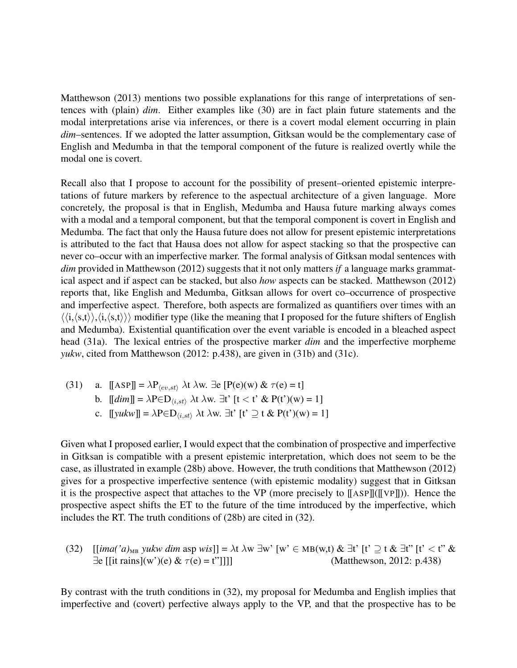Matthewson (2013) mentions two possible explanations for this range of interpretations of sentences with (plain) *dim*. Either examples like (30) are in fact plain future statements and the modal interpretations arise via inferences, or there is a covert modal element occurring in plain *dim*–sentences. If we adopted the latter assumption, Gitksan would be the complementary case of English and Medumba in that the temporal component of the future is realized overtly while the modal one is covert.

Recall also that I propose to account for the possibility of present–oriented epistemic interpretations of future markers by reference to the aspectual architecture of a given language. More concretely, the proposal is that in English, Medumba and Hausa future marking always comes with a modal and a temporal component, but that the temporal component is covert in English and Medumba. The fact that only the Hausa future does not allow for present epistemic interpretations is attributed to the fact that Hausa does not allow for aspect stacking so that the prospective can never co–occur with an imperfective marker. The formal analysis of Gitksan modal sentences with *dim* provided in Matthewson (2012) suggests that it not only matters *if* a language marks grammatical aspect and if aspect can be stacked, but also *how* aspects can be stacked. Matthewson (2012) reports that, like English and Medumba, Gitksan allows for overt co–occurrence of prospective and imperfective aspect. Therefore, both aspects are formalized as quantifiers over times with an  $\langle\langle i,\langle s,t\rangle\rangle,\langle i,\langle s,t\rangle\rangle\rangle$  modifier type (like the meaning that I proposed for the future shifters of English and Medumba). Existential quantification over the event variable is encoded in a bleached aspect head (31a). The lexical entries of the prospective marker *dim* and the imperfective morpheme *yukw*, cited from Matthewson (2012: p.438), are given in (31b) and (31c).

(31) a.  $[[ASP]] = \lambda P_{\langle ev, st \rangle} \lambda t \lambda w$ . ∃e  $[P(e)(w) \& \tau(e) = t]$ b.  $[[dim]] = \lambda P \in D_{\langle i, st \rangle} \lambda t \lambda w$ .  $\exists t' [t < t' \& P(t')(w) = 1]$ c.  $[[\text{yukw}]] = \lambda \text{PeD}_{\langle i, st \rangle} \lambda t \lambda w$ .  $\exists t' [t' \supseteq t \& P(t')(w) = 1]$ 

Given what I proposed earlier, I would expect that the combination of prospective and imperfective in Gitksan is compatible with a present epistemic interpretation, which does not seem to be the case, as illustrated in example (28b) above. However, the truth conditions that Matthewson (2012) gives for a prospective imperfective sentence (with epistemic modality) suggest that in Gitksan it is the prospective aspect that attaches to the VP (more precisely to  $\lceil \text{ASP} \rceil (\lceil \text{VP} \rceil)$ ). Hence the prospective aspect shifts the ET to the future of the time introduced by the imperfective, which includes the RT. The truth conditions of (28b) are cited in (32).

(32) 
$$
[[\text{ima}(a)_{\text{MB}}] \text{ yukw dim asp wis}]] = \lambda t \lambda w \exists w' [w' \in \text{MB}(w, t) \& \exists t' [t' \supseteq t \& \exists t'' [t' < t'' \& \exists e [[\text{it rains}](w')(e) \& \tau(e) = t']]]]
$$
\n(Mat thewson, 2012: p.438)

By contrast with the truth conditions in (32), my proposal for Medumba and English implies that imperfective and (covert) perfective always apply to the VP, and that the prospective has to be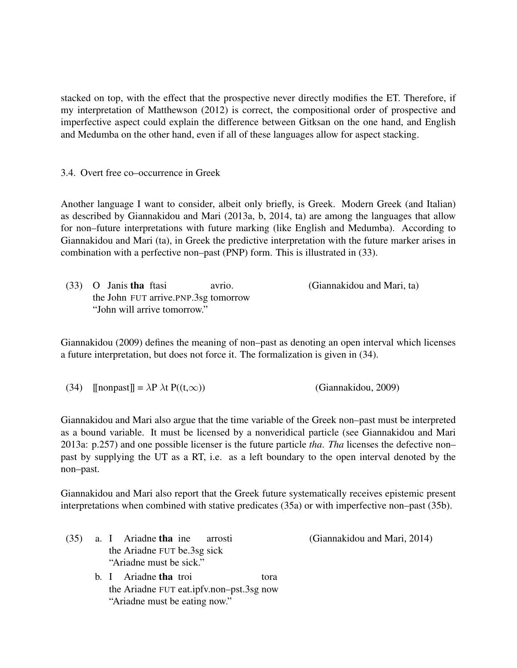stacked on top, with the effect that the prospective never directly modifies the ET. Therefore, if my interpretation of Matthewson (2012) is correct, the compositional order of prospective and imperfective aspect could explain the difference between Gitksan on the one hand, and English and Medumba on the other hand, even if all of these languages allow for aspect stacking.

3.4. Overt free co–occurrence in Greek

Another language I want to consider, albeit only briefly, is Greek. Modern Greek (and Italian) as described by Giannakidou and Mari (2013a, b, 2014, ta) are among the languages that allow for non–future interpretations with future marking (like English and Medumba). According to Giannakidou and Mari (ta), in Greek the predictive interpretation with the future marker arises in combination with a perfective non–past (PNP) form. This is illustrated in (33).

|                              | $(33)$ O Janis tha ftasi               | avrio. | (Giannakidou and Mari, ta) |
|------------------------------|----------------------------------------|--------|----------------------------|
|                              | the John FUT arrive. PNP. 3sg tomorrow |        |                            |
| "John will arrive tomorrow." |                                        |        |                            |

Giannakidou (2009) defines the meaning of non–past as denoting an open interval which licenses a future interpretation, but does not force it. The formalization is given in (34).

Giannakidou and Mari also argue that the time variable of the Greek non–past must be interpreted as a bound variable. It must be licensed by a nonveridical particle (see Giannakidou and Mari 2013a: p.257) and one possible licenser is the future particle *tha*. *Tha* licenses the defective non– past by supplying the UT as a RT, i.e. as a left boundary to the open interval denoted by the non–past.

Giannakidou and Mari also report that the Greek future systematically receives epistemic present interpretations when combined with stative predicates (35a) or with imperfective non–past (35b).

|  |                         | $(35)$ a. I Ariadne that ine arrosti |  |  |  |
|--|-------------------------|--------------------------------------|--|--|--|
|  |                         | the Ariadne FUT be.3sg sick          |  |  |  |
|  | "Ariadne must be sick." |                                      |  |  |  |

b. I Ariadne **tha** troi the Ariadne FUT eat.ipfv.non–pst.3sg now tora "Ariadne must be eating now."

(Giannakidou and Mari, 2014)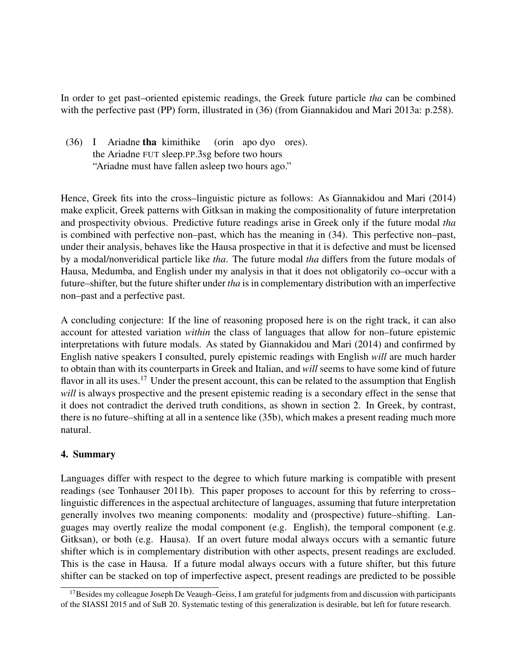In order to get past–oriented epistemic readings, the Greek future particle *tha* can be combined with the perfective past (PP) form, illustrated in (36) (from Giannakidou and Mari 2013a: p.258).

(36) I Ariadne tha kimithike the Ariadne FUT sleep.PP.3sg before two hours (orin apo dyo ores). "Ariadne must have fallen asleep two hours ago."

Hence, Greek fits into the cross–linguistic picture as follows: As Giannakidou and Mari (2014) make explicit, Greek patterns with Gitksan in making the compositionality of future interpretation and prospectivity obvious. Predictive future readings arise in Greek only if the future modal *tha* is combined with perfective non–past, which has the meaning in (34). This perfective non–past, under their analysis, behaves like the Hausa prospective in that it is defective and must be licensed by a modal/nonveridical particle like *tha*. The future modal *tha* differs from the future modals of Hausa, Medumba, and English under my analysis in that it does not obligatorily co–occur with a future–shifter, but the future shifter under *tha* is in complementary distribution with an imperfective non–past and a perfective past.

A concluding conjecture: If the line of reasoning proposed here is on the right track, it can also account for attested variation *within* the class of languages that allow for non–future epistemic interpretations with future modals. As stated by Giannakidou and Mari (2014) and confirmed by English native speakers I consulted, purely epistemic readings with English *will* are much harder to obtain than with its counterparts in Greek and Italian, and *will* seems to have some kind of future flavor in all its uses.<sup>17</sup> Under the present account, this can be related to the assumption that English *will* is always prospective and the present epistemic reading is a secondary effect in the sense that it does not contradict the derived truth conditions, as shown in section 2. In Greek, by contrast, there is no future–shifting at all in a sentence like (35b), which makes a present reading much more natural.

# 4. Summary

Languages differ with respect to the degree to which future marking is compatible with present readings (see Tonhauser 2011b). This paper proposes to account for this by referring to cross– linguistic differences in the aspectual architecture of languages, assuming that future interpretation generally involves two meaning components: modality and (prospective) future–shifting. Languages may overtly realize the modal component (e.g. English), the temporal component (e.g. Gitksan), or both (e.g. Hausa). If an overt future modal always occurs with a semantic future shifter which is in complementary distribution with other aspects, present readings are excluded. This is the case in Hausa. If a future modal always occurs with a future shifter, but this future shifter can be stacked on top of imperfective aspect, present readings are predicted to be possible

 $17$ Besides my colleague Joseph De Veaugh–Geiss, I am grateful for judgments from and discussion with participants of the SIASSI 2015 and of SuB 20. Systematic testing of this generalization is desirable, but left for future research.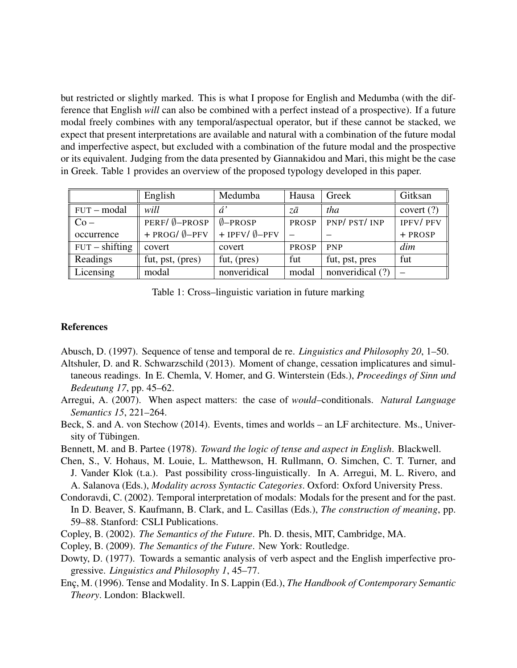but restricted or slightly marked. This is what I propose for English and Medumba (with the difference that English *will* can also be combined with a perfect instead of a prospective). If a future modal freely combines with any temporal/aspectual operator, but if these cannot be stacked, we expect that present interpretations are available and natural with a combination of the future modal and imperfective aspect, but excluded with a combination of the future modal and the prospective or its equivalent. Judging from the data presented by Giannakidou and Mari, this might be the case in Greek. Table 1 provides an overview of the proposed typology developed in this paper.

|                  | English                    | Medumba                    | Hausa        | Greek            | Gitksan         |
|------------------|----------------------------|----------------------------|--------------|------------------|-----------------|
| $FUT$ - modal    | will                       | á                          | zā           | tha              | covert $(?)$    |
| $Co-$            | PERF/ Ø-PROSP              | $\emptyset$ -PROSP         | <b>PROSP</b> | PNP/PST/INP      | <b>IPFV/PFV</b> |
| occurrence       | $+$ PROG/ $\emptyset$ -PFV | $+$ IPFV/ $\emptyset$ -PFV |              |                  | + PROSP         |
| $FUT - shifting$ | covert                     | covert                     | <b>PROSP</b> | <b>PNP</b>       | dim             |
| Readings         | fut, pst, (pres)           | fut, (pres)                | fut          | fut, pst, pres   | fut             |
| Licensing        | modal                      | nonveridical               | modal        | nonveridical (?) |                 |

Table 1: Cross–linguistic variation in future marking

#### References

Abusch, D. (1997). Sequence of tense and temporal de re. *Linguistics and Philosophy 20*, 1–50.

- Altshuler, D. and R. Schwarzschild (2013). Moment of change, cessation implicatures and simultaneous readings. In E. Chemla, V. Homer, and G. Winterstein (Eds.), *Proceedings of Sinn und Bedeutung 17*, pp. 45–62.
- Arregui, A. (2007). When aspect matters: the case of *would*–conditionals. *Natural Language Semantics 15*, 221–264.
- Beck, S. and A. von Stechow (2014). Events, times and worlds an LF architecture. Ms., University of Tübingen.
- Bennett, M. and B. Partee (1978). *Toward the logic of tense and aspect in English*. Blackwell.
- Chen, S., V. Hohaus, M. Louie, L. Matthewson, H. Rullmann, O. Simchen, C. T. Turner, and J. Vander Klok (t.a.). Past possibility cross-linguistically. In A. Arregui, M. L. Rivero, and A. Salanova (Eds.), *Modality across Syntactic Categories*. Oxford: Oxford University Press.

Condoravdi, C. (2002). Temporal interpretation of modals: Modals for the present and for the past. In D. Beaver, S. Kaufmann, B. Clark, and L. Casillas (Eds.), *The construction of meaning*, pp. 59–88. Stanford: CSLI Publications.

- Copley, B. (2002). *The Semantics of the Future*. Ph. D. thesis, MIT, Cambridge, MA.
- Copley, B. (2009). *The Semantics of the Future*. New York: Routledge.
- Dowty, D. (1977). Towards a semantic analysis of verb aspect and the English imperfective progressive. *Linguistics and Philosophy 1*, 45–77.
- Enc¸, M. (1996). Tense and Modality. In S. Lappin (Ed.), *The Handbook of Contemporary Semantic Theory*. London: Blackwell.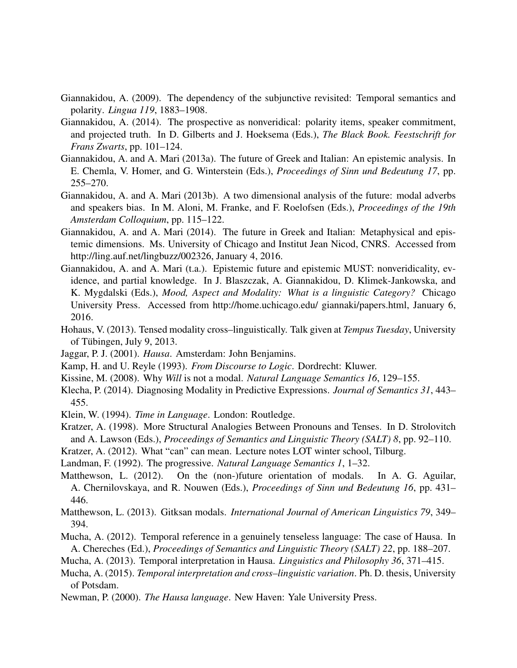- Giannakidou, A. (2009). The dependency of the subjunctive revisited: Temporal semantics and polarity. *Lingua 119*, 1883–1908.
- Giannakidou, A. (2014). The prospective as nonveridical: polarity items, speaker commitment, and projected truth. In D. Gilberts and J. Hoeksema (Eds.), *The Black Book. Feestschrift for Frans Zwarts*, pp. 101–124.
- Giannakidou, A. and A. Mari (2013a). The future of Greek and Italian: An epistemic analysis. In E. Chemla, V. Homer, and G. Winterstein (Eds.), *Proceedings of Sinn und Bedeutung 17*, pp. 255–270.
- Giannakidou, A. and A. Mari (2013b). A two dimensional analysis of the future: modal adverbs and speakers bias. In M. Aloni, M. Franke, and F. Roelofsen (Eds.), *Proceedings of the 19th Amsterdam Colloquium*, pp. 115–122.
- Giannakidou, A. and A. Mari (2014). The future in Greek and Italian: Metaphysical and epistemic dimensions. Ms. University of Chicago and Institut Jean Nicod, CNRS. Accessed from http://ling.auf.net/lingbuzz/002326, January 4, 2016.
- Giannakidou, A. and A. Mari (t.a.). Epistemic future and epistemic MUST: nonveridicality, evidence, and partial knowledge. In J. Blaszczak, A. Giannakidou, D. Klimek-Jankowska, and K. Mygdalski (Eds.), *Mood, Aspect and Modality: What is a linguistic Category?* Chicago University Press. Accessed from http://home.uchicago.edu/ giannaki/papers.html, January 6, 2016.
- Hohaus, V. (2013). Tensed modality cross–linguistically. Talk given at *Tempus Tuesday*, University of Tübingen, July 9, 2013.
- Jaggar, P. J. (2001). *Hausa*. Amsterdam: John Benjamins.
- Kamp, H. and U. Reyle (1993). *From Discourse to Logic*. Dordrecht: Kluwer.
- Kissine, M. (2008). Why *Will* is not a modal. *Natural Language Semantics 16*, 129–155.
- Klecha, P. (2014). Diagnosing Modality in Predictive Expressions. *Journal of Semantics 31*, 443– 455.
- Klein, W. (1994). *Time in Language*. London: Routledge.
- Kratzer, A. (1998). More Structural Analogies Between Pronouns and Tenses. In D. Strolovitch and A. Lawson (Eds.), *Proceedings of Semantics and Linguistic Theory (SALT) 8*, pp. 92–110.
- Kratzer, A. (2012). What "can" can mean. Lecture notes LOT winter school, Tilburg.
- Landman, F. (1992). The progressive. *Natural Language Semantics 1*, 1–32.
- Matthewson, L. (2012). On the (non-)future orientation of modals. In A. G. Aguilar, A. Chernilovskaya, and R. Nouwen (Eds.), *Proceedings of Sinn und Bedeutung 16*, pp. 431– 446.
- Matthewson, L. (2013). Gitksan modals. *International Journal of American Linguistics 79*, 349– 394.
- Mucha, A. (2012). Temporal reference in a genuinely tenseless language: The case of Hausa. In A. Chereches (Ed.), *Proceedings of Semantics and Linguistic Theory (SALT) 22*, pp. 188–207.
- Mucha, A. (2013). Temporal interpretation in Hausa. *Linguistics and Philosophy 36*, 371–415.
- Mucha, A. (2015). *Temporal interpretation and cross–linguistic variation*. Ph. D. thesis, University of Potsdam.
- Newman, P. (2000). *The Hausa language*. New Haven: Yale University Press.